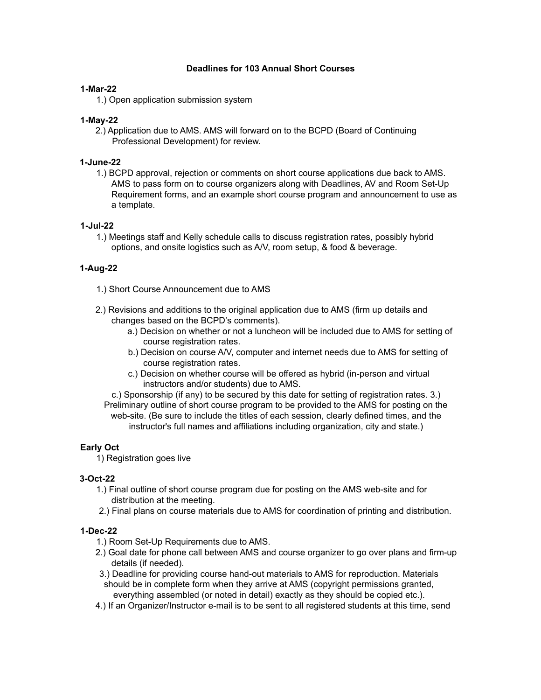### **Deadlines for 103 Annual Short Courses**

#### **1-Mar-22**

1.) Open application submission system

#### **1-May-22**

2.) Application due to AMS. AMS will forward on to the BCPD (Board of Continuing Professional Development) for review.

#### **1-June-22**

1.) BCPD approval, rejection or comments on short course applications due back to AMS. AMS to pass form on to course organizers along with Deadlines, AV and Room Set-Up Requirement forms, and an example short course program and announcement to use as a template.

#### **1-Jul-22**

1.) Meetings staff and Kelly schedule calls to discuss registration rates, possibly hybrid options, and onsite logistics such as A/V, room setup, & food & beverage.

# **1-Aug-22**

- 1.) Short Course Announcement due to AMS
- 2.) Revisions and additions to the original application due to AMS (firm up details and changes based on the BCPD's comments).
	- a.) Decision on whether or not a luncheon will be included due to AMS for setting of course registration rates.
	- b.) Decision on course A/V, computer and internet needs due to AMS for setting of course registration rates.
	- c.) Decision on whether course will be offered as hybrid (in-person and virtual instructors and/or students) due to AMS.

c.) Sponsorship (if any) to be secured by this date for setting of registration rates. 3.) Preliminary outline of short course program to be provided to the AMS for posting on the web-site. (Be sure to include the titles of each session, clearly defined times, and the instructor's full names and affiliations including organization, city and state.)

# **Early Oct**

1) Registration goes live

# **3-Oct-22**

- 1.) Final outline of short course program due for posting on the AMS web-site and for distribution at the meeting.
- 2.) Final plans on course materials due to AMS for coordination of printing and distribution.

# **1-Dec-22**

- 1.) Room Set-Up Requirements due to AMS.
- 2.) Goal date for phone call between AMS and course organizer to go over plans and firm-up details (if needed).
- 3.) Deadline for providing course hand-out materials to AMS for reproduction. Materials should be in complete form when they arrive at AMS (copyright permissions granted, everything assembled (or noted in detail) exactly as they should be copied etc.).
- 4.) If an Organizer/Instructor e-mail is to be sent to all registered students at this time, send